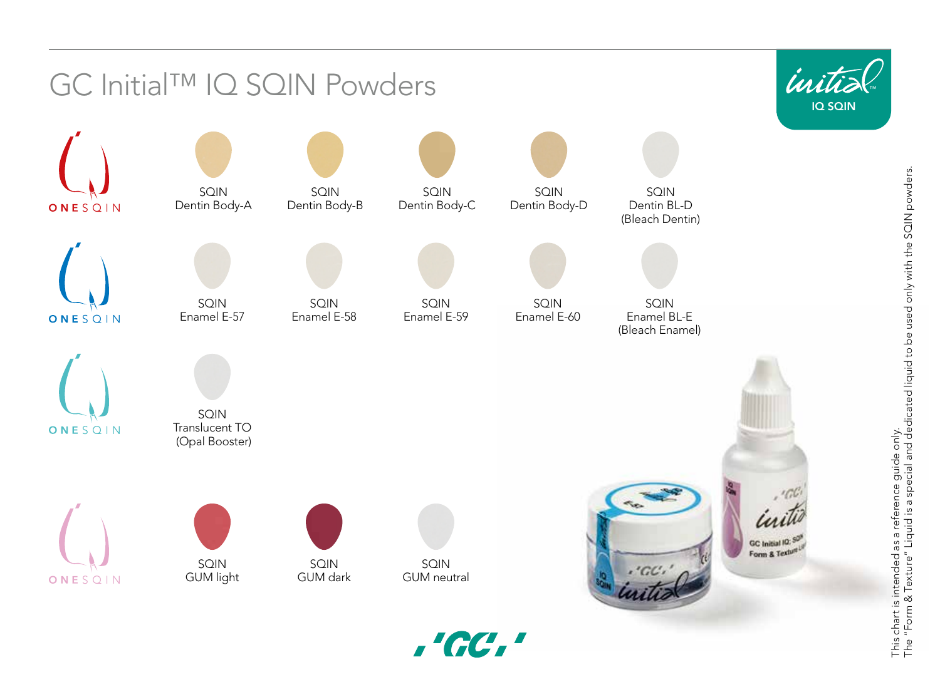